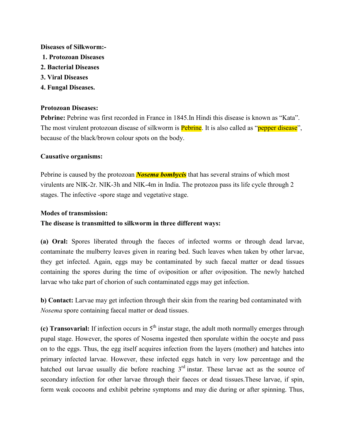#### **Diseases of Silkworm:-**

- **1. Protozoan Diseases**
- **2. Bacterial Diseases**
- **3. Viral Diseases**
- **4. Fungal Diseases.**

### **Protozoan Diseases:**

**Pebrine:** Pebrine was first recorded in France in 1845.In Hindi this disease is known as "Kata". The most virulent protozoan disease of silkworm is **Pebrine**. It is also called as "pepper disease", because of the black/brown colour spots on the body.

# **Causative organisms:**

Pebrine is caused by the protozoan *Nosema bombycis* that has several strains of which most virulents are NIK-2r. NIK-3h and NIK-4m in India. The protozoa pass its life cycle through 2 stages. The infective -spore stage and vegetative stage.

### **Modes of transmission:**

**The disease is transmitted to silkworm in three different ways:**

**(a) Oral:** Spores liberated through the faeces of infected worms or through dead larvae, contaminate the mulberry leaves given in rearing bed. Such leaves when taken by other larvae, they get infected. Again, eggs may be contaminated by such faecal matter or dead tissues containing the spores during the time of oviposition or after oviposition. The newly hatched larvae who take part of chorion of such contaminated eggs may get infection.

**b) Contact:** Larvae may get infection through their skin from the rearing bed contaminated with *Nosema* spore containing faecal matter or dead tissues.

**(c) Transovarial:** If infection occurs in  $5<sup>th</sup>$  instar stage, the adult moth normally emerges through pupal stage. However, the spores of Nosema ingested then sporulate within the oocyte and pass on to the eggs. Thus, the egg itself acquires infection from the layers (mother) and hatches into primary infected larvae. However, these infected eggs hatch in very low percentage and the hatched out larvae usually die before reaching  $3<sup>rd</sup>$  instar. These larvae act as the source of secondary infection for other larvae through their faeces or dead tissues.These larvae, if spin, form weak cocoons and exhibit pebrine symptoms and may die during or after spinning. Thus,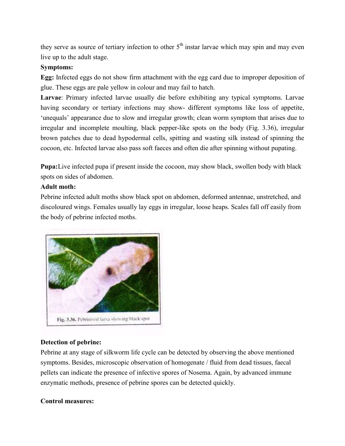they serve as source of tertiary infection to other  $5<sup>th</sup>$  instar larvae which may spin and may even live up to the adult stage.

### **Symptoms:**

**Egg:** Infected eggs do not show firm attachment with the egg card due to improper deposition of [glue. These eggs are pale yellow in colour an](https://www.notesonzoology.com/wp-content/uploads/2016/07/clip_image033_thumb2-1.jpg)d may fail to hatch.

**Larvae**: Primary infected larvae usually die before exhibiting any typical symptoms. Larvae having secondary or tertiary infections may show- different symptoms like loss of appetite, 'unequals' appearance due to slow and irregular growth; clean worm symptom that arises due to irregular and incomplete moulting, black pepper-like spots on the body (Fig. 3.36), irregular brown patches due to dead hypodermal cells, spitting and wasting silk instead of spinning the cocoon, etc. Infected larvae also pass soft faeces and often die after spinning without pupating.

**Pupa:**Live infected pupa if present inside the cocoon, may show black, swollen body with black spots on sides of abdomen.

### **Adult moth:**

Pebrine infected adult moths show black spot on abdomen, deformed antennae, unstretched, and discoloured wings. Females usually lay eggs in irregular, loose heaps. Scales fall off easily from the body of pebrine infected moths.



# **Detection of pebrine:**

Pebrine at any stage of silkworm life cycle can be detected by observing the above mentioned symptoms. Besides, microscopic observation of homogenate / fluid from dead tissues, faecal pellets can indicate the presence of infective spores of Nosema. Again, by advanced immune enzymatic methods, presence of pebrine spores can be detected quickly.

# **Control measures:**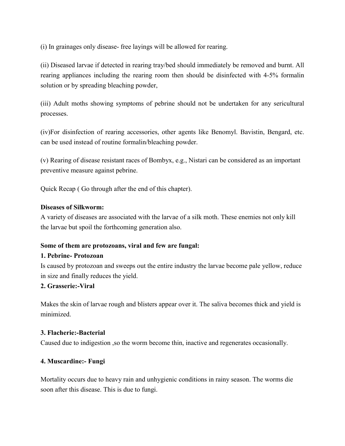(i) In grainages only disease- free layings will be allowed for rearing.

(ii) Diseased larvae if detected in rearing tray/bed should immediately be removed and burnt. All rearing appliances including the rearing room then should be disinfected with 4-5% formalin solution or by spreading bleaching powder,

(iii) Adult moths showing symptoms of pebrine should not be undertaken for any sericultural processes.

(iv)For disinfection of rearing accessories, other agents like Benomyl. Bavistin, Bengard, etc. can be used instead of routine formalin/bleaching powder.

(v) Rearing of disease resistant races of Bombyx, e.g., Nistari can be considered as an important preventive measure against pebrine.

Quick Recap ( Go through after the end of this chapter).

### **Diseases of Silkworm:**

A variety of diseases are associated with the larvae of a silk moth. These enemies not only kill the larvae but spoil the forthcoming generation also.

#### **Some of them are protozoans, viral and few are fungal:**

#### **1. Pebrine- Protozoan**

Is caused by protozoan and sweeps out the entire industry the larvae become pale yellow, reduce in size and finally reduces the yield.

# **2. Grasserie:-Viral**

Makes the skin of larvae rough and blisters appear over it. The saliva becomes thick and yield is minimized.

#### **3. Flacherie:-Bacterial**

Caused due to indigestion ,so the worm become thin, inactive and regenerates occasionally.

# **4. Muscardine:- Fungi**

Mortality occurs due to heavy rain and unhygienic conditions in rainy season. The worms die soon after this disease. This is due to fungi.